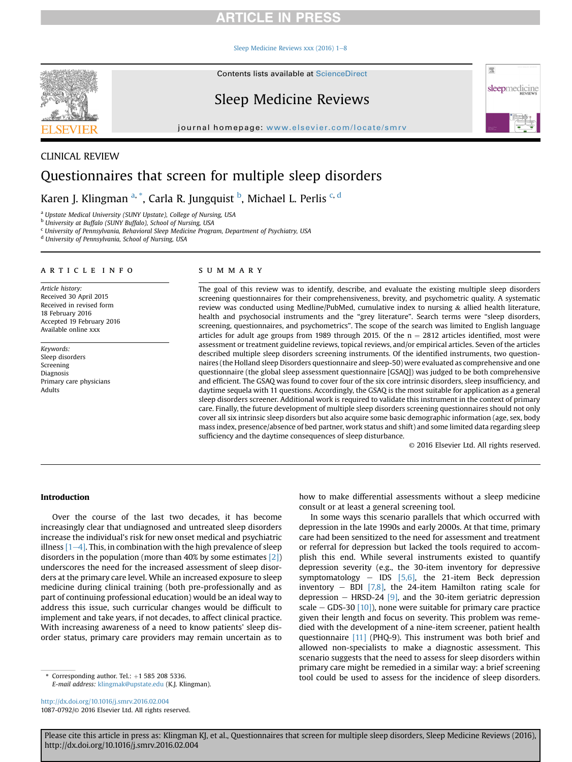#### [Sleep Medicine Reviews xxx \(2016\) 1](http://dx.doi.org/10.1016/j.smrv.2016.02.004)-[8](http://dx.doi.org/10.1016/j.smrv.2016.02.004)



Contents lists available at [ScienceDirect](www.sciencedirect.com/science/journal/10870792)

# Sleep Medicine Reviews

journal homepage: [www.elsevier.com/locate/smrv](http://www.elsevier.com/locate/smrv)

# CLINICAL REVIEW Questionnaires that screen for multiple sleep disorders

Karen J. Klingman <sup>a, \*</sup>, Carla R. Jungquist <sup>b</sup>, Michael L. Perlis <sup>c, d</sup>

a Upstate Medical University (SUNY Upstate), College of Nursing, USA

b University at Buffalo (SUNY Buffalo), School of Nursing, USA

<sup>c</sup> University of Pennsylvania, Behavioral Sleep Medicine Program, Department of Psychiatry, USA

<sup>d</sup> University of Pennsylvania, School of Nursing, USA

#### article info

Article history: Received 30 April 2015 Received in revised form 18 February 2016 Accepted 19 February 2016 Available online xxx

Keywords: Sleep disorders Screening Diagnosis Primary care physicians Adults

#### summary

The goal of this review was to identify, describe, and evaluate the existing multiple sleep disorders screening questionnaires for their comprehensiveness, brevity, and psychometric quality. A systematic review was conducted using Medline/PubMed, cumulative index to nursing & allied health literature, health and psychosocial instruments and the "grey literature". Search terms were "sleep disorders, screening, questionnaires, and psychometrics". The scope of the search was limited to English language articles for adult age groups from 1989 through 2015. Of the  $n = 2812$  articles identified, most were assessment or treatment guideline reviews, topical reviews, and/or empirical articles. Seven of the articles described multiple sleep disorders screening instruments. Of the identified instruments, two questionnaires (the Holland sleep Disorders questionnaire and sleep-50) were evaluated as comprehensive and one questionnaire (the global sleep assessment questionnaire [GSAQ]) was judged to be both comprehensive and efficient. The GSAQ was found to cover four of the six core intrinsic disorders, sleep insufficiency, and daytime sequela with 11 questions. Accordingly, the GSAQ is the most suitable for application as a general sleep disorders screener. Additional work is required to validate this instrument in the context of primary care. Finally, the future development of multiple sleep disorders screening questionnaires should not only cover all six intrinsic sleep disorders but also acquire some basic demographic information (age, sex, body mass index, presence/absence of bed partner, work status and shift) and some limited data regarding sleep sufficiency and the daytime consequences of sleep disturbance.

© 2016 Elsevier Ltd. All rights reserved.

理

sleepmedicine

## Introduction

Over the course of the last two decades, it has become increasingly clear that undiagnosed and untreated sleep disorders increase the individual's risk for new onset medical and psychiatric illness  $[1-4]$  $[1-4]$  $[1-4]$ . This, in combination with the high prevalence of sleep disorders in the population (more than 40% by some estimates [\[2\]\)](#page-7-0) underscores the need for the increased assessment of sleep disorders at the primary care level. While an increased exposure to sleep medicine during clinical training (both pre-professionally and as part of continuing professional education) would be an ideal way to address this issue, such curricular changes would be difficult to implement and take years, if not decades, to affect clinical practice. With increasing awareness of a need to know patients' sleep disorder status, primary care providers may remain uncertain as to

E-mail address: [klingmak@upstate.edu](mailto:klingmak@upstate.edu) (K.J. Klingman).

<http://dx.doi.org/10.1016/j.smrv.2016.02.004> 1087-0792/© 2016 Elsevier Ltd. All rights reserved. how to make differential assessments without a sleep medicine consult or at least a general screening tool.

In some ways this scenario parallels that which occurred with depression in the late 1990s and early 2000s. At that time, primary care had been sensitized to the need for assessment and treatment or referral for depression but lacked the tools required to accomplish this end. While several instruments existed to quantify depression severity (e.g., the 30-item inventory for depressive symptomatology  $-$  IDS [\[5,6\]](#page-7-0), the 21-item Beck depression inventory  $-$  BDI [\[7,8\],](#page-7-0) the 24-item Hamilton rating scale for depression  $-$  HRSD-24 [\[9\]](#page-7-0), and the 30-item geriatric depression scale  $-$  GDS-30 [\[10\]\)](#page-7-0), none were suitable for primary care practice given their length and focus on severity. This problem was remedied with the development of a nine-item screener, patient health questionnaire [\[11\]](#page-7-0) (PHQ-9). This instrument was both brief and allowed non-specialists to make a diagnostic assessment. This scenario suggests that the need to assess for sleep disorders within primary care might be remedied in a similar way: a brief screening tool could be used to assess for the incidence of sleep disorders. \* Corresponding author. Tel.: <sup>þ</sup>1 585 208 5336.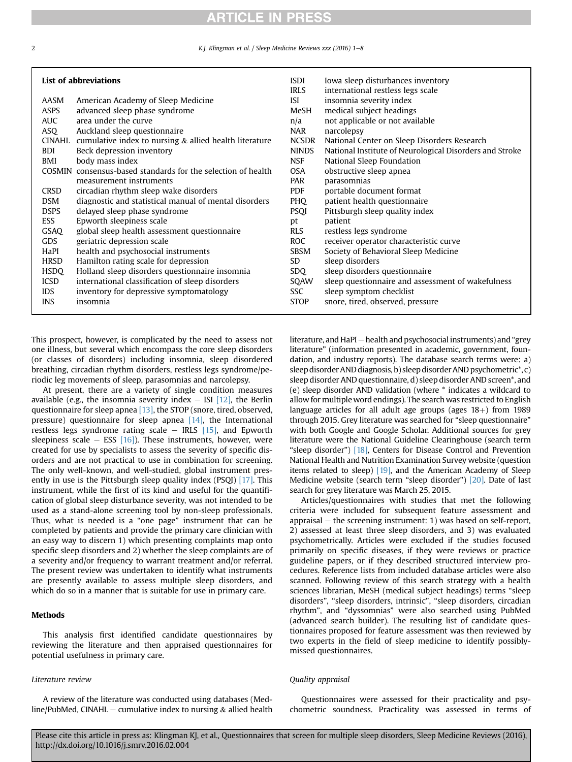2 **Example 2** K.J. Klingman et al. / Sleep Medicine Reviews xxx (2016) 1-8

| List of abbreviations |                                                              | <b>ISDI</b><br><b>IRLS</b> | Iowa sleep disturbances inventory<br>international restless legs scale |
|-----------------------|--------------------------------------------------------------|----------------------------|------------------------------------------------------------------------|
| AASM                  | American Academy of Sleep Medicine                           | ISI                        | insomnia severity index                                                |
| ASPS                  | advanced sleep phase syndrome                                | MeSH                       | medical subject headings                                               |
| <b>AUC</b>            | area under the curve                                         | n/a                        | not applicable or not available                                        |
| ASQ.                  | Auckland sleep questionnaire                                 | NAR                        | narcolepsy                                                             |
| CINAHL                | cumulative index to nursing $\&$ allied health literature    | <b>NCSDR</b>               | National Center on Sleep Disorders Research                            |
| <b>BDI</b>            | Beck depression inventory                                    | <b>NINDS</b>               | National Institute of Neurological Disorders and Stroke                |
| BMI                   | body mass index                                              | <b>NSF</b>                 | National Sleep Foundation                                              |
|                       | COSMIN consensus-based standards for the selection of health | OSA.                       | obstructive sleep apnea                                                |
|                       | measurement instruments                                      | PAR                        | parasomnias                                                            |
| CRSD                  | circadian rhythm sleep wake disorders                        | <b>PDF</b>                 | portable document format                                               |
| <b>DSM</b>            | diagnostic and statistical manual of mental disorders        | PHO                        | patient health questionnaire                                           |
| <b>DSPS</b>           | delayed sleep phase syndrome                                 | <b>PSQI</b>                | Pittsburgh sleep quality index                                         |
| <b>ESS</b>            | Epworth sleepiness scale                                     | pt                         | patient                                                                |
| <b>GSAQ</b>           | global sleep health assessment questionnaire                 | <b>RLS</b>                 | restless legs syndrome                                                 |
| <b>GDS</b>            |                                                              | ROC                        |                                                                        |
|                       | geriatric depression scale                                   |                            | receiver operator characteristic curve                                 |
| HaPI                  | health and psychosocial instruments                          | <b>SBSM</b>                | Society of Behavioral Sleep Medicine                                   |
| <b>HRSD</b>           | Hamilton rating scale for depression                         | SD                         | sleep disorders                                                        |
| <b>HSDO</b>           | Holland sleep disorders questionnaire insomnia               | SDO                        | sleep disorders questionnaire                                          |
| <b>ICSD</b>           | international classification of sleep disorders              | SOAW                       | sleep questionnaire and assessment of wakefulness                      |
| <b>IDS</b>            | inventory for depressive symptomatology                      | SSC                        | sleep symptom checklist                                                |
| <b>INS</b>            | insomnia                                                     | <b>STOP</b>                | snore, tired, observed, pressure                                       |
|                       |                                                              |                            |                                                                        |

This prospect, however, is complicated by the need to assess not one illness, but several which encompass the core sleep disorders (or classes of disorders) including insomnia, sleep disordered breathing, circadian rhythm disorders, restless legs syndrome/periodic leg movements of sleep, parasomnias and narcolepsy.

At present, there are a variety of single condition measures available (e.g., the insomnia severity index  $-$  ISI [\[12\]](#page-7-0), the Berlin questionnaire for sleep apnea [\[13\],](#page-7-0) the STOP (snore, tired, observed, pressure) questionnaire for sleep apnea [\[14\]](#page-7-0), the International restless legs syndrome rating scale  $-$  IRLS [\[15\],](#page-7-0) and Epworth sleepiness scale  $-$  ESS [\[16\]](#page-7-0)). These instruments, however, were created for use by specialists to assess the severity of specific disorders and are not practical to use in combination for screening. The only well-known, and well-studied, global instrument pres-ently in use is the Pittsburgh sleep quality index (PSQI) [\[17\]](#page-7-0). This instrument, while the first of its kind and useful for the quantification of global sleep disturbance severity, was not intended to be used as a stand-alone screening tool by non-sleep professionals. Thus, what is needed is a "one page" instrument that can be completed by patients and provide the primary care clinician with an easy way to discern 1) which presenting complaints map onto specific sleep disorders and 2) whether the sleep complaints are of a severity and/or frequency to warrant treatment and/or referral. The present review was undertaken to identify what instruments are presently available to assess multiple sleep disorders, and which do so in a manner that is suitable for use in primary care.

## Methods

This analysis first identified candidate questionnaires by reviewing the literature and then appraised questionnaires for potential usefulness in primary care.

## Literature review

A review of the literature was conducted using databases (Medline/PubMed, CINAHL – cumulative index to nursing  $\&$  allied health literature, and HaPI - health and psychosocial instruments) and "grey literature" (information presented in academic, government, foundation, and industry reports). The database search terms were: a) sleep disorder AND diagnosis, b) sleep disorder AND psychometric\*, c) sleep disorder AND questionnaire, d) sleep disorder AND screen\*, and (e) sleep disorder AND validation (where \* indicates a wildcard to allow for multiple word endings). The search was restricted to English language articles for all adult age groups (ages  $18+$ ) from 1989 through 2015. Grey literature was searched for "sleep questionnaire" with both Google and Google Scholar. Additional sources for grey literature were the National Guideline Clearinghouse (search term "sleep disorder") [\[18\],](#page-7-0) Centers for Disease Control and Prevention National Health and Nutrition Examination Survey website (question items related to sleep) [\[19\],](#page-7-0) and the American Academy of Sleep Medicine website (search term "sleep disorder") [\[20\].](#page-7-0) Date of last search for grey literature was March 25, 2015.

Articles/questionnaires with studies that met the following criteria were included for subsequent feature assessment and appraisal  $-$  the screening instrument: 1) was based on self-report, 2) assessed at least three sleep disorders, and 3) was evaluated psychometrically. Articles were excluded if the studies focused primarily on specific diseases, if they were reviews or practice guideline papers, or if they described structured interview procedures. Reference lists from included database articles were also scanned. Following review of this search strategy with a health sciences librarian, MeSH (medical subject headings) terms "sleep disorders", "sleep disorders, intrinsic", "sleep disorders, circadian rhythm", and "dyssomnias" were also searched using PubMed (advanced search builder). The resulting list of candidate questionnaires proposed for feature assessment was then reviewed by two experts in the field of sleep medicine to identify possiblymissed questionnaires.

## Quality appraisal

Questionnaires were assessed for their practicality and psychometric soundness. Practicality was assessed in terms of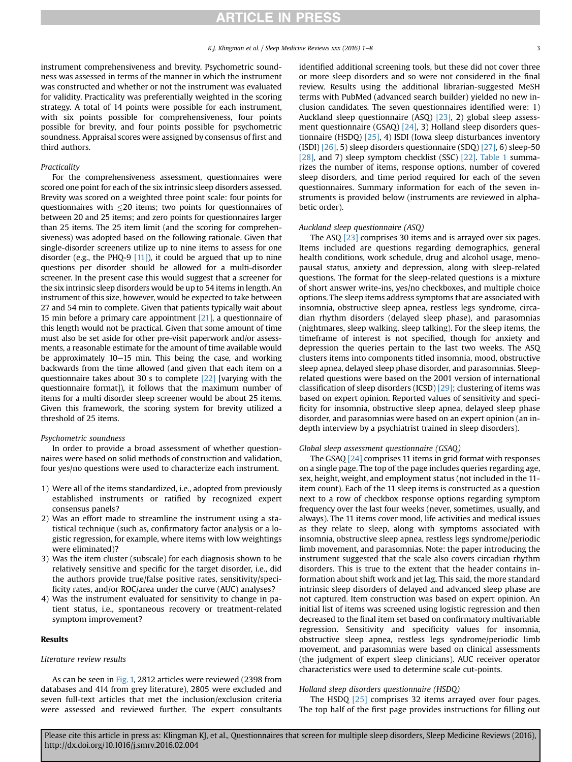instrument comprehensiveness and brevity. Psychometric soundness was assessed in terms of the manner in which the instrument was constructed and whether or not the instrument was evaluated for validity. Practicality was preferentially weighted in the scoring strategy. A total of 14 points were possible for each instrument, with six points possible for comprehensiveness, four points possible for brevity, and four points possible for psychometric soundness. Appraisal scores were assigned by consensus of first and third authors.

#### Practicality

For the comprehensiveness assessment, questionnaires were scored one point for each of the six intrinsic sleep disorders assessed. Brevity was scored on a weighted three point scale: four points for questionnaires with  $\leq$ 20 items; two points for questionnaires of between 20 and 25 items; and zero points for questionnaires larger than 25 items. The 25 item limit (and the scoring for comprehensiveness) was adopted based on the following rationale. Given that single-disorder screeners utilize up to nine items to assess for one disorder (e.g., the PHQ-9 [\[11\]\)](#page-7-0), it could be argued that up to nine questions per disorder should be allowed for a multi-disorder screener. In the present case this would suggest that a screener for the six intrinsic sleep disorders would be up to 54 items in length. An instrument of this size, however, would be expected to take between 27 and 54 min to complete. Given that patients typically wait about 15 min before a primary care appointment [\[21\]](#page-7-0), a questionnaire of this length would not be practical. Given that some amount of time must also be set aside for other pre-visit paperwork and/or assessments, a reasonable estimate for the amount of time available would be approximately  $10-15$  min. This being the case, and working backwards from the time allowed (and given that each item on a questionnaire takes about 30 s to complete [\[22\]](#page-7-0) [varying with the questionnaire format]), it follows that the maximum number of items for a multi disorder sleep screener would be about 25 items. Given this framework, the scoring system for brevity utilized a threshold of 25 items.

#### Psychometric soundness

In order to provide a broad assessment of whether questionnaires were based on solid methods of construction and validation, four yes/no questions were used to characterize each instrument.

- 1) Were all of the items standardized, i.e., adopted from previously established instruments or ratified by recognized expert consensus panels?
- 2) Was an effort made to streamline the instrument using a statistical technique (such as, confirmatory factor analysis or a logistic regression, for example, where items with low weightings were eliminated)?
- 3) Was the item cluster (subscale) for each diagnosis shown to be relatively sensitive and specific for the target disorder, i.e., did the authors provide true/false positive rates, sensitivity/specificity rates, and/or ROC/area under the curve (AUC) analyses?
- 4) Was the instrument evaluated for sensitivity to change in patient status, i.e., spontaneous recovery or treatment-related symptom improvement?

#### Results

#### Literature review results

As can be seen in [Fig. 1,](#page-3-0) 2812 articles were reviewed (2398 from databases and 414 from grey literature), 2805 were excluded and seven full-text articles that met the inclusion/exclusion criteria were assessed and reviewed further. The expert consultants identified additional screening tools, but these did not cover three or more sleep disorders and so were not considered in the final review. Results using the additional librarian-suggested MeSH terms with PubMed (advanced search builder) yielded no new inclusion candidates. The seven questionnaires identified were: 1) Auckland sleep questionnaire (ASQ) [\[23\],](#page-7-0) 2) global sleep assessment questionnaire (GSAQ) [\[24\],](#page-7-0) 3) Holland sleep disorders questionnaire (HSDQ) [\[25\]](#page-7-0), 4) ISDI (Iowa sleep disturbances inventory (ISDI)  $[26]$ , 5) sleep disorders questionnaire (SDQ)  $[27]$ , 6) sleep-50 [\[28\],](#page-7-0) and 7) sleep symptom checklist (SSC) [\[22\]](#page-7-0). [Table 1](#page-4-0) summarizes the number of items, response options, number of covered sleep disorders, and time period required for each of the seven questionnaires. Summary information for each of the seven instruments is provided below (instruments are reviewed in alphabetic order).

#### Auckland sleep questionnaire (ASQ)

The ASQ [\[23\]](#page-7-0) comprises 30 items and is arrayed over six pages. Items included are questions regarding demographics, general health conditions, work schedule, drug and alcohol usage, menopausal status, anxiety and depression, along with sleep-related questions. The format for the sleep-related questions is a mixture of short answer write-ins, yes/no checkboxes, and multiple choice options. The sleep items address symptoms that are associated with insomnia, obstructive sleep apnea, restless legs syndrome, circadian rhythm disorders (delayed sleep phase), and parasomnias (nightmares, sleep walking, sleep talking). For the sleep items, the timeframe of interest is not specified, though for anxiety and depression the queries pertain to the last two weeks. The ASQ clusters items into components titled insomnia, mood, obstructive sleep apnea, delayed sleep phase disorder, and parasomnias. Sleeprelated questions were based on the 2001 version of international classification of sleep disorders (ICSD) [\[29\]](#page-7-0); clustering of items was based on expert opinion. Reported values of sensitivity and specificity for insomnia, obstructive sleep apnea, delayed sleep phase disorder, and parasomnias were based on an expert opinion (an indepth interview by a psychiatrist trained in sleep disorders).

#### Global sleep assessment questionnaire (GSAQ)

The GSAQ [\[24\]](#page-7-0) comprises 11 items in grid format with responses on a single page. The top of the page includes queries regarding age, sex, height, weight, and employment status (not included in the 11 item count). Each of the 11 sleep items is constructed as a question next to a row of checkbox response options regarding symptom frequency over the last four weeks (never, sometimes, usually, and always). The 11 items cover mood, life activities and medical issues as they relate to sleep, along with symptoms associated with insomnia, obstructive sleep apnea, restless legs syndrome/periodic limb movement, and parasomnias. Note: the paper introducing the instrument suggested that the scale also covers circadian rhythm disorders. This is true to the extent that the header contains information about shift work and jet lag. This said, the more standard intrinsic sleep disorders of delayed and advanced sleep phase are not captured. Item construction was based on expert opinion. An initial list of items was screened using logistic regression and then decreased to the final item set based on confirmatory multivariable regression. Sensitivity and specificity values for insomnia, obstructive sleep apnea, restless legs syndrome/periodic limb movement, and parasomnias were based on clinical assessments (the judgment of expert sleep clinicians). AUC receiver operator characteristics were used to determine scale cut-points.

### Holland sleep disorders questionnaire (HSDQ)

The HSDQ [\[25\]](#page-7-0) comprises 32 items arrayed over four pages. The top half of the first page provides instructions for filling out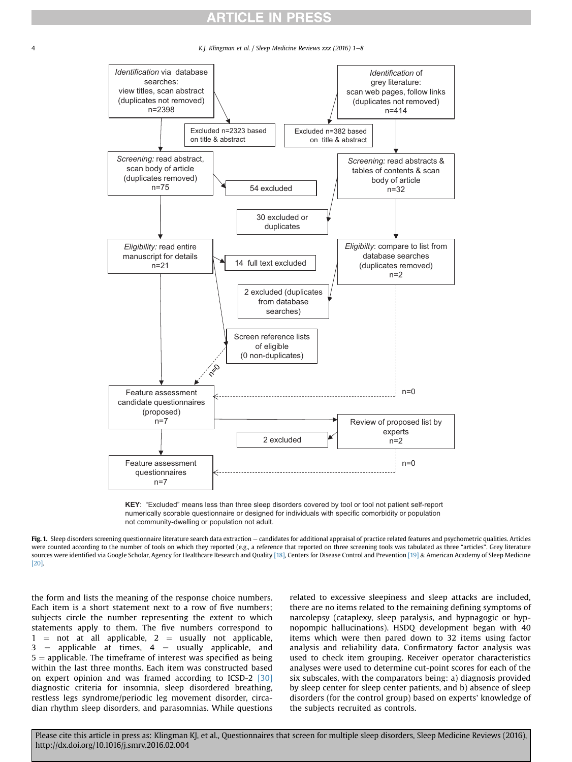<span id="page-3-0"></span>

4 K.J. Klingman et al. / Sleep Medicine Reviews xxx (2016) 1–8



**KEY**: "Excluded" means less than three sleep disorders covered by tool or tool not patient self-report numerically scorable questionnaire or designed for individuals with specific comorbidity or population not community-dwelling or population not adult.

Fig. 1. Sleep disorders screening questionnaire literature search data extraction  $-$  candidates for additional appraisal of practice related features and psychometric qualities. Articles were counted according to the number of tools on which they reported (e.g., a reference that reported on three screening tools was tabulated as three "articles". Grey literature sources were identified via Google Scholar, Agency for Healthcare Research and Quality [\[18\],](#page-7-0) Centers for Disease Control and Prevention [\[19\]](#page-7-0) & American Academy of Sleep Medicine [\[20\].](#page-7-0)

the form and lists the meaning of the response choice numbers. Each item is a short statement next to a row of five numbers; subjects circle the number representing the extent to which statements apply to them. The five numbers correspond to  $1 =$  not at all applicable,  $2 =$  usually not applicable,  $3$  = applicable at times,  $4$  = usually applicable, and  $5 =$  applicable. The timeframe of interest was specified as being within the last three months. Each item was constructed based on expert opinion and was framed according to ICSD-2 [\[30\]](#page-7-0) diagnostic criteria for insomnia, sleep disordered breathing, restless legs syndrome/periodic leg movement disorder, circadian rhythm sleep disorders, and parasomnias. While questions related to excessive sleepiness and sleep attacks are included, there are no items related to the remaining defining symptoms of narcolepsy (cataplexy, sleep paralysis, and hypnagogic or hypnopompic hallucinations). HSDQ development began with 40 items which were then pared down to 32 items using factor analysis and reliability data. Confirmatory factor analysis was used to check item grouping. Receiver operator characteristics analyses were used to determine cut-point scores for each of the six subscales, with the comparators being: a) diagnosis provided by sleep center for sleep center patients, and b) absence of sleep disorders (for the control group) based on experts' knowledge of the subjects recruited as controls.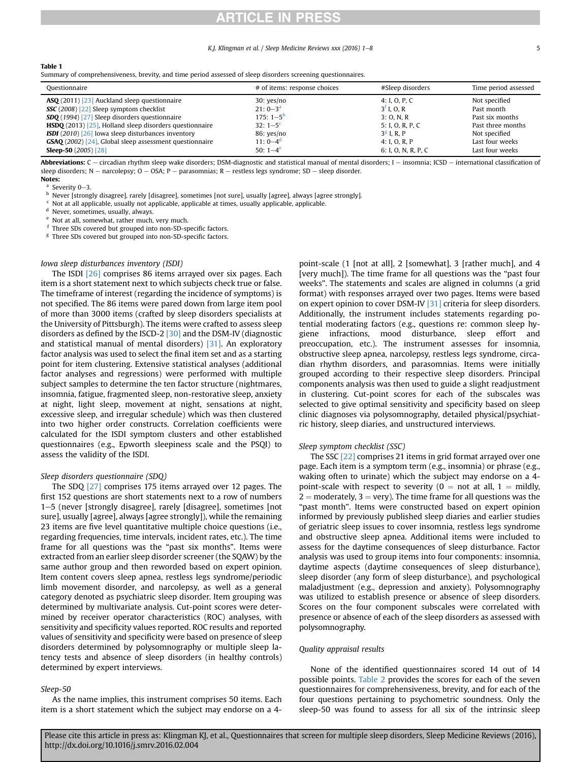#### K.I. Klingman et al. / Sleep Medicine Reviews  $xxx(2016)$  1–8  $5$

<span id="page-4-0"></span>

| æл |  |
|----|--|
|----|--|

|  |  |  | Summary of comprehensiveness, brevity, and time period assessed of sleep disorders screening questionnaires. |  |
|--|--|--|--------------------------------------------------------------------------------------------------------------|--|
|  |  |  |                                                                                                              |  |

| Ouestionnaire                                                                | # of items: response choices | #Sleep disorders    | Time period assessed |
|------------------------------------------------------------------------------|------------------------------|---------------------|----------------------|
| <b>ASQ</b> (2011) [23] Auckland sleep questionnaire                          | 30: yes/no                   | 4: I, O, P, C       | Not specified        |
| <b>SSC</b> (2008) [22] Sleep symptom checklist                               | $21:0-3^a$                   | $3f$ I. O. R        | Past month           |
| <b>SDQ</b> (1994) [27] Sleep disorders questionnaire                         | $175:1-5^b$                  | 3: 0. N. R          | Past six months      |
| <b>HSDQ</b> (2013) $\left[25\right]$ , Holland sleep disorders questionnaire | $32:1-5^c$                   | 5: I, O, R, P, C    | Past three months    |
| <b>ISDI</b> (2010) [26] Iowa sleep disturbances inventory                    | 86: yes/no                   | $3g$ I. R. P        | Not specified        |
| <b>GSAQ</b> (2002) [24], Global sleep assessment questionnaire               | 11: $0 - 4^d$                | 4: I, O, R, P       | Last four weeks      |
| <b>Sleep-50</b> $(2005)$ $[28]$                                              | 50: $1-4^e$                  | 6: I, O, N, R, P, C | Last four weeks      |

Abbreviations: C - circadian rhythm sleep wake disorders; DSM-diagnostic and statistical manual of mental disorders; I - insomnia; ICSD - international classification of sleep disorders; N - narcolepsy; O - OSA; P - parasomnias; R - restless legs syndrome; SD - sleep disorder.

Notes:

 $^a$  Severity 0-3.

<sup>b</sup> Never [strongly disagree], rarely [disagree], sometimes [not sure], usually [agree], always [agree strongly].

Not at all applicable, usually not applicable, applicable at times, usually applicable, applicable.

<sup>d</sup> Never, sometimes, usually, always.

Not at all, somewhat, rather much, very much.

Three SDs covered but grouped into non-SD-specific factors.

<sup>g</sup> Three SDs covered but grouped into non-SD-specific factors.

### Iowa sleep disturbances inventory (ISDI)

The ISDI [\[26\]](#page-7-0) comprises 86 items arrayed over six pages. Each item is a short statement next to which subjects check true or false. The timeframe of interest (regarding the incidence of symptoms) is not specified. The 86 items were pared down from large item pool of more than 3000 items (crafted by sleep disorders specialists at the University of Pittsburgh). The items were crafted to assess sleep disorders as defined by the ISCD-2 [\[30\]](#page-7-0) and the DSM-IV (diagnostic and statistical manual of mental disorders) [\[31\]](#page-7-0). An exploratory factor analysis was used to select the final item set and as a starting point for item clustering. Extensive statistical analyses (additional factor analyses and regressions) were performed with multiple subject samples to determine the ten factor structure (nightmares, insomnia, fatigue, fragmented sleep, non-restorative sleep, anxiety at night, light sleep, movement at night, sensations at night, excessive sleep, and irregular schedule) which was then clustered into two higher order constructs. Correlation coefficients were calculated for the ISDI symptom clusters and other established questionnaires (e.g., Epworth sleepiness scale and the PSQI) to assess the validity of the ISDI.

#### Sleep disorders questionnaire (SDQ)

The SDQ [\[27\]](#page-7-0) comprises 175 items arrayed over 12 pages. The first 152 questions are short statements next to a row of numbers 1–5 (never [strongly disagree], rarely [disagree], sometimes [not] sure], usually [agree], always [agree strongly]), while the remaining 23 items are five level quantitative multiple choice questions (i.e., regarding frequencies, time intervals, incident rates, etc.). The time frame for all questions was the "past six months". Items were extracted from an earlier sleep disorder screener (the SQAW) by the same author group and then reworded based on expert opinion. Item content covers sleep apnea, restless legs syndrome/periodic limb movement disorder, and narcolepsy, as well as a general category denoted as psychiatric sleep disorder. Item grouping was determined by multivariate analysis. Cut-point scores were determined by receiver operator characteristics (ROC) analyses, with sensitivity and specificity values reported. ROC results and reported values of sensitivity and specificity were based on presence of sleep disorders determined by polysomnography or multiple sleep latency tests and absence of sleep disorders (in healthy controls) determined by expert interviews.

#### Sleep-50

As the name implies, this instrument comprises 50 items. Each item is a short statement which the subject may endorse on a 4point-scale (1 [not at all], 2 [somewhat], 3 [rather much], and 4 [very much]). The time frame for all questions was the "past four weeks". The statements and scales are aligned in columns (a grid format) with responses arrayed over two pages. Items were based on expert opinion to cover DSM-IV [\[31\]](#page-7-0) criteria for sleep disorders. Additionally, the instrument includes statements regarding potential moderating factors (e.g., questions re: common sleep hygiene infractions, mood disturbance, sleep effort and preoccupation, etc.). The instrument assesses for insomnia, obstructive sleep apnea, narcolepsy, restless legs syndrome, circadian rhythm disorders, and parasomnias. Items were initially grouped according to their respective sleep disorders. Principal components analysis was then used to guide a slight readjustment in clustering. Cut-point scores for each of the subscales was selected to give optimal sensitivity and specificity based on sleep clinic diagnoses via polysomnography, detailed physical/psychiatric history, sleep diaries, and unstructured interviews.

## Sleep symptom checklist (SSC)

The SSC [\[22\]](#page-7-0) comprises 21 items in grid format arrayed over one page. Each item is a symptom term (e.g., insomnia) or phrase (e.g., waking often to urinate) which the subject may endorse on a 4 point-scale with respect to severity ( $0 =$  not at all,  $1 =$  mildly,  $2 =$  moderately,  $3 =$  very). The time frame for all questions was the "past month". Items were constructed based on expert opinion informed by previously published sleep diaries and earlier studies of geriatric sleep issues to cover insomnia, restless legs syndrome and obstructive sleep apnea. Additional items were included to assess for the daytime consequences of sleep disturbance. Factor analysis was used to group items into four components: insomnia, daytime aspects (daytime consequences of sleep disturbance), sleep disorder (any form of sleep disturbance), and psychological maladjustment (e.g., depression and anxiety). Polysomnography was utilized to establish presence or absence of sleep disorders. Scores on the four component subscales were correlated with presence or absence of each of the sleep disorders as assessed with polysomnography.

#### Quality appraisal results

None of the identified questionnaires scored 14 out of 14 possible points. [Table 2](#page-5-0) provides the scores for each of the seven questionnaires for comprehensiveness, brevity, and for each of the four questions pertaining to psychometric soundness. Only the sleep-50 was found to assess for all six of the intrinsic sleep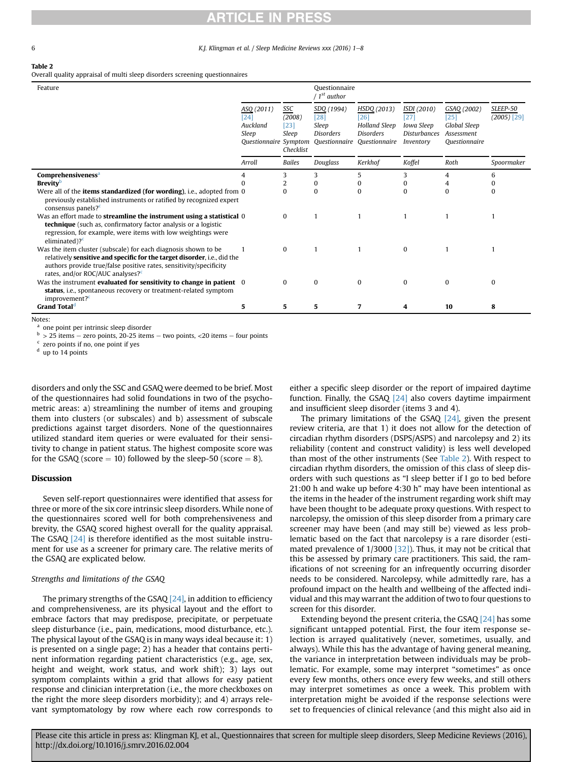<span id="page-5-0"></span>

6 **K.J. Klingman et al. / Sleep Medicine Reviews xxx** (2016) 1–8

#### Table 2

Overall quality appraisal of multi sleep disorders screening questionnaires

| Feature                                                                                                                                                                                                                                                          |                                                                  |                                               | Ouestionnaire<br>/ $1^{st}$ author                                                      |                                                                                  |                                                                       |                                                                      |                           |
|------------------------------------------------------------------------------------------------------------------------------------------------------------------------------------------------------------------------------------------------------------------|------------------------------------------------------------------|-----------------------------------------------|-----------------------------------------------------------------------------------------|----------------------------------------------------------------------------------|-----------------------------------------------------------------------|----------------------------------------------------------------------|---------------------------|
|                                                                                                                                                                                                                                                                  | ASQ (2011)<br>[24]<br>Auckland<br>Sleep<br>Questionnaire Symptom | SSC<br>(2008)<br>$[23]$<br>Sleep<br>Checklist | SDQ (1994)<br>$[28]$<br>Sleep<br><b>Disorders</b><br><i><u><b>Ouestionnaire</b></u></i> | HSDQ (2013)<br>[26]<br><b>Holland Sleep</b><br><b>Disorders</b><br>Ouestionnaire | ISDI (2010)<br>[27]<br>Iowa Sleep<br><b>Disturbances</b><br>Inventory | GSAQ (2002)<br>$[25]$<br>Global Sleep<br>Assessment<br>Ouestionnaire | SLEEP-50<br>$(2005)$ [29] |
|                                                                                                                                                                                                                                                                  | Arroll                                                           | <b>Bailes</b>                                 | Douglass                                                                                | Kerkhof                                                                          | Koffel                                                                | Roth                                                                 | Spoormaker                |
| Comprehensiveness <sup>a</sup>                                                                                                                                                                                                                                   |                                                                  | 3                                             | 3                                                                                       | 5                                                                                | 3                                                                     | 4                                                                    | 6                         |
| <b>Brevity</b> <sup>b</sup>                                                                                                                                                                                                                                      |                                                                  | 2                                             | 0                                                                                       | 0                                                                                | 0                                                                     | 4                                                                    |                           |
| Were all of the <b>items standardized (for wording)</b> , i.e., adopted from 0<br>previously established instruments or ratified by recognized expert<br>consensus panels? <sup>c</sup>                                                                          |                                                                  | $\Omega$                                      | $\Omega$                                                                                | $\mathbf{0}$                                                                     | $\bf{0}$                                                              | $\Omega$                                                             | 0                         |
| Was an effort made to <b>streamline the instrument using a statistical</b> 0<br><b>technique</b> (such as, confirmatory factor analysis or a logistic<br>regression, for example, were items with low weightings were<br>eliminated $)$ ? <sup>c</sup>           |                                                                  | $\mathbf{0}$                                  |                                                                                         |                                                                                  |                                                                       |                                                                      |                           |
| Was the item cluster (subscale) for each diagnosis shown to be<br>relatively sensitive and specific for the target disorder, i.e., did the<br>authors provide true/false positive rates, sensitivity/specificity<br>rates, and/or ROC/AUC analyses? <sup>c</sup> |                                                                  | $\Omega$                                      |                                                                                         |                                                                                  | $\Omega$                                                              |                                                                      |                           |
| Was the instrument evaluated for sensitivity to change in patient 0<br>status, i.e., spontaneous recovery or treatment-related symptom<br>improvement? <sup>c</sup>                                                                                              |                                                                  | $\Omega$                                      | $\Omega$                                                                                | $\Omega$                                                                         | $\Omega$                                                              | $\Omega$                                                             | $\Omega$                  |
| Grand Total <sup>d</sup>                                                                                                                                                                                                                                         | 5                                                                | 5.                                            | 5                                                                                       | 7                                                                                | 4                                                                     | 10                                                                   | 8                         |

Notes:

<sup>a</sup> one point per intrinsic sleep disorder

 $b > 25$  items – zero points, 20-25 items – two points, <20 items – four points

zero points if no, one point if yes

<sup>d</sup> up to 14 points

disorders and only the SSC and GSAQ were deemed to be brief. Most of the questionnaires had solid foundations in two of the psychometric areas: a) streamlining the number of items and grouping them into clusters (or subscales) and b) assessment of subscale predictions against target disorders. None of the questionnaires utilized standard item queries or were evaluated for their sensitivity to change in patient status. The highest composite score was for the GSAQ (score  $= 10$ ) followed by the sleep-50 (score  $= 8$ ).

## Discussion

Seven self-report questionnaires were identified that assess for three or more of the six core intrinsic sleep disorders. While none of the questionnaires scored well for both comprehensiveness and brevity, the GSAQ scored highest overall for the quality appraisal. The GSAQ [\[24\]](#page-7-0) is therefore identified as the most suitable instrument for use as a screener for primary care. The relative merits of the GSAQ are explicated below.

## Strengths and limitations of the GSAQ

The primary strengths of the GSAQ  $[24]$ , in addition to efficiency and comprehensiveness, are its physical layout and the effort to embrace factors that may predispose, precipitate, or perpetuate sleep disturbance (i.e., pain, medications, mood disturbance, etc.). The physical layout of the GSAQ is in many ways ideal because it: 1) is presented on a single page; 2) has a header that contains pertinent information regarding patient characteristics (e.g., age, sex, height and weight, work status, and work shift); 3) lays out symptom complaints within a grid that allows for easy patient response and clinician interpretation (i.e., the more checkboxes on the right the more sleep disorders morbidity); and 4) arrays relevant symptomatology by row where each row corresponds to either a specific sleep disorder or the report of impaired daytime function. Finally, the GSAQ [\[24\]](#page-7-0) also covers daytime impairment and insufficient sleep disorder (items 3 and 4).

The primary limitations of the GSAQ [\[24\]](#page-7-0), given the present review criteria, are that 1) it does not allow for the detection of circadian rhythm disorders (DSPS/ASPS) and narcolepsy and 2) its reliability (content and construct validity) is less well developed than most of the other instruments (See Table 2). With respect to circadian rhythm disorders, the omission of this class of sleep disorders with such questions as "I sleep better if I go to bed before 21:00 h and wake up before 4:30 h" may have been intentional as the items in the header of the instrument regarding work shift may have been thought to be adequate proxy questions. With respect to narcolepsy, the omission of this sleep disorder from a primary care screener may have been (and may still be) viewed as less problematic based on the fact that narcolepsy is a rare disorder (esti-mated prevalence of 1/3000 [\[32\]](#page-7-0)). Thus, it may not be critical that this be assessed by primary care practitioners. This said, the ramifications of not screening for an infrequently occurring disorder needs to be considered. Narcolepsy, while admittedly rare, has a profound impact on the health and wellbeing of the affected individual and this may warrant the addition of two to four questions to screen for this disorder.

Extending beyond the present criteria, the GSAQ [\[24\]](#page-7-0) has some significant untapped potential. First, the four item response selection is arrayed qualitatively (never, sometimes, usually, and always). While this has the advantage of having general meaning, the variance in interpretation between individuals may be problematic. For example, some may interpret "sometimes" as once every few months, others once every few weeks, and still others may interpret sometimes as once a week. This problem with interpretation might be avoided if the response selections were set to frequencies of clinical relevance (and this might also aid in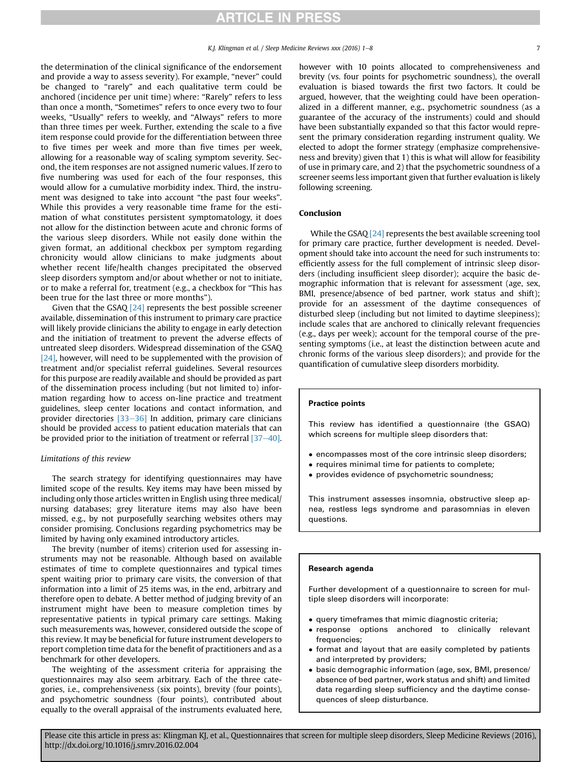the determination of the clinical significance of the endorsement and provide a way to assess severity). For example, "never" could be changed to "rarely" and each qualitative term could be anchored (incidence per unit time) where: "Rarely" refers to less than once a month, "Sometimes" refers to once every two to four weeks, "Usually" refers to weekly, and "Always" refers to more than three times per week. Further, extending the scale to a five item response could provide for the differentiation between three to five times per week and more than five times per week, allowing for a reasonable way of scaling symptom severity. Second, the item responses are not assigned numeric values. If zero to five numbering was used for each of the four responses, this would allow for a cumulative morbidity index. Third, the instrument was designed to take into account "the past four weeks". While this provides a very reasonable time frame for the estimation of what constitutes persistent symptomatology, it does not allow for the distinction between acute and chronic forms of the various sleep disorders. While not easily done within the given format, an additional checkbox per symptom regarding chronicity would allow clinicians to make judgments about whether recent life/health changes precipitated the observed sleep disorders symptom and/or about whether or not to initiate, or to make a referral for, treatment (e.g., a checkbox for "This has been true for the last three or more months").

Given that the GSAQ  $[24]$  represents the best possible screener available, dissemination of this instrument to primary care practice will likely provide clinicians the ability to engage in early detection and the initiation of treatment to prevent the adverse effects of untreated sleep disorders. Widespread dissemination of the GSAQ [\[24\],](#page-7-0) however, will need to be supplemented with the provision of treatment and/or specialist referral guidelines. Several resources for this purpose are readily available and should be provided as part of the dissemination process including (but not limited to) information regarding how to access on-line practice and treatment guidelines, sleep center locations and contact information, and provider directories  $[33-36]$  $[33-36]$  $[33-36]$  In addition, primary care clinicians should be provided access to patient education materials that can be provided prior to the initiation of treatment or referral  $[37-40]$  $[37-40]$ .

## Limitations of this review

The search strategy for identifying questionnaires may have limited scope of the results. Key items may have been missed by including only those articles written in English using three medical/ nursing databases; grey literature items may also have been missed, e.g., by not purposefully searching websites others may consider promising. Conclusions regarding psychometrics may be limited by having only examined introductory articles.

The brevity (number of items) criterion used for assessing instruments may not be reasonable. Although based on available estimates of time to complete questionnaires and typical times spent waiting prior to primary care visits, the conversion of that information into a limit of 25 items was, in the end, arbitrary and therefore open to debate. A better method of judging brevity of an instrument might have been to measure completion times by representative patients in typical primary care settings. Making such measurements was, however, considered outside the scope of this review. It may be beneficial for future instrument developers to report completion time data for the benefit of practitioners and as a benchmark for other developers.

The weighting of the assessment criteria for appraising the questionnaires may also seem arbitrary. Each of the three categories, i.e., comprehensiveness (six points), brevity (four points), and psychometric soundness (four points), contributed about equally to the overall appraisal of the instruments evaluated here,

however with 10 points allocated to comprehensiveness and brevity (vs. four points for psychometric soundness), the overall evaluation is biased towards the first two factors. It could be argued, however, that the weighting could have been operationalized in a different manner, e.g., psychometric soundness (as a guarantee of the accuracy of the instruments) could and should have been substantially expanded so that this factor would represent the primary consideration regarding instrument quality. We elected to adopt the former strategy (emphasize comprehensiveness and brevity) given that 1) this is what will allow for feasibility of use in primary care, and 2) that the psychometric soundness of a screener seems less important given that further evaluation is likely following screening.

### Conclusion

While the GSAQ [\[24\]](#page-7-0) represents the best available screening tool for primary care practice, further development is needed. Development should take into account the need for such instruments to: efficiently assess for the full complement of intrinsic sleep disorders (including insufficient sleep disorder); acquire the basic demographic information that is relevant for assessment (age, sex, BMI, presence/absence of bed partner, work status and shift); provide for an assessment of the daytime consequences of disturbed sleep (including but not limited to daytime sleepiness); include scales that are anchored to clinically relevant frequencies (e.g., days per week); account for the temporal course of the presenting symptoms (i.e., at least the distinction between acute and chronic forms of the various sleep disorders); and provide for the quantification of cumulative sleep disorders morbidity.

## Practice points

This review has identified a questionnaire (the GSAQ) which screens for multiple sleep disorders that:

- encompasses most of the core intrinsic sleep disorders;
- requires minimal time for patients to complete;
- provides evidence of psychometric soundness;

This instrument assesses insomnia, obstructive sleep apnea, restless legs syndrome and parasomnias in eleven questions.

#### Research agenda

Further development of a questionnaire to screen for multiple sleep disorders will incorporate:

- query timeframes that mimic diagnostic criteria;
- response options anchored to clinically relevant frequencies;
- format and layout that are easily completed by patients and interpreted by providers;
- basic demographic information (age, sex, BMI, presence/ absence of bed partner, work status and shift) and limited data regarding sleep sufficiency and the daytime consequences of sleep disturbance.